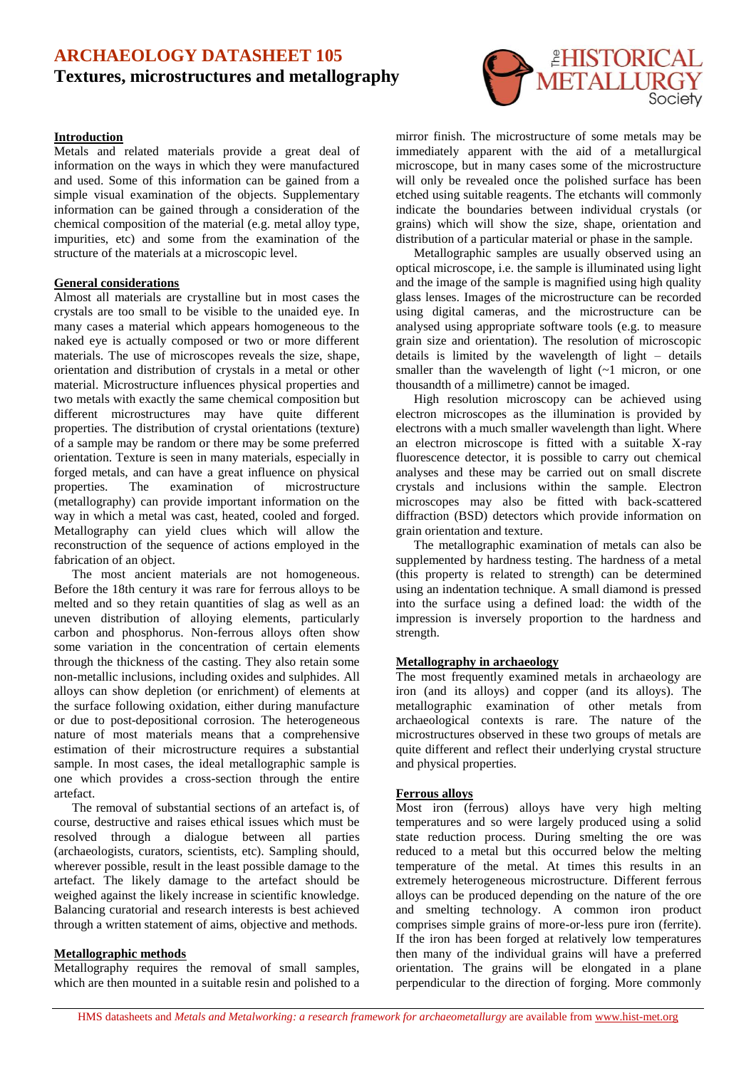# **ARCHAEOLOGY DATASHEET 105 Textures, microstructures and metallography**

### **Introduction**

Metals and related materials provide a great deal of information on the ways in which they were manufactured and used. Some of this information can be gained from a simple visual examination of the objects. Supplementary information can be gained through a consideration of the chemical composition of the material (e.g. metal alloy type, impurities, etc) and some from the examination of the structure of the materials at a microscopic level.

#### **General considerations**

Almost all materials are crystalline but in most cases the crystals are too small to be visible to the unaided eye. In many cases a material which appears homogeneous to the naked eye is actually composed or two or more different materials. The use of microscopes reveals the size, shape, orientation and distribution of crystals in a metal or other material. Microstructure influences physical properties and two metals with exactly the same chemical composition but different microstructures may have quite different properties. The distribution of crystal orientations (texture) of a sample may be random or there may be some preferred orientation. Texture is seen in many materials, especially in forged metals, and can have a great influence on physical properties. The examination of microstructure (metallography) can provide important information on the way in which a metal was cast, heated, cooled and forged. Metallography can yield clues which will allow the reconstruction of the sequence of actions employed in the fabrication of an object.

The most ancient materials are not homogeneous. Before the 18th century it was rare for ferrous alloys to be melted and so they retain quantities of slag as well as an uneven distribution of alloying elements, particularly carbon and phosphorus. Non-ferrous alloys often show some variation in the concentration of certain elements through the thickness of the casting. They also retain some non-metallic inclusions, including oxides and sulphides. All alloys can show depletion (or enrichment) of elements at the surface following oxidation, either during manufacture or due to post-depositional corrosion. The heterogeneous nature of most materials means that a comprehensive estimation of their microstructure requires a substantial sample. In most cases, the ideal metallographic sample is one which provides a cross-section through the entire artefact.

The removal of substantial sections of an artefact is, of course, destructive and raises ethical issues which must be resolved through a dialogue between all parties (archaeologists, curators, scientists, etc). Sampling should, wherever possible, result in the least possible damage to the artefact. The likely damage to the artefact should be weighed against the likely increase in scientific knowledge. Balancing curatorial and research interests is best achieved through a written statement of aims, objective and methods.

### **Metallographic methods**

Metallography requires the removal of small samples, which are then mounted in a suitable resin and polished to a



mirror finish. The microstructure of some metals may be immediately apparent with the aid of a metallurgical microscope, but in many cases some of the microstructure will only be revealed once the polished surface has been etched using suitable reagents. The etchants will commonly indicate the boundaries between individual crystals (or grains) which will show the size, shape, orientation and distribution of a particular material or phase in the sample.

Metallographic samples are usually observed using an optical microscope, i.e. the sample is illuminated using light and the image of the sample is magnified using high quality glass lenses. Images of the microstructure can be recorded using digital cameras, and the microstructure can be analysed using appropriate software tools (e.g. to measure grain size and orientation). The resolution of microscopic details is limited by the wavelength of light – details smaller than the wavelength of light  $(-1)$  micron, or one thousandth of a millimetre) cannot be imaged.

High resolution microscopy can be achieved using electron microscopes as the illumination is provided by electrons with a much smaller wavelength than light. Where an electron microscope is fitted with a suitable X-ray fluorescence detector, it is possible to carry out chemical analyses and these may be carried out on small discrete crystals and inclusions within the sample. Electron microscopes may also be fitted with back-scattered diffraction (BSD) detectors which provide information on grain orientation and texture.

The metallographic examination of metals can also be supplemented by hardness testing. The hardness of a metal (this property is related to strength) can be determined using an indentation technique. A small diamond is pressed into the surface using a defined load: the width of the impression is inversely proportion to the hardness and strength.

### **Metallography in archaeology**

The most frequently examined metals in archaeology are iron (and its alloys) and copper (and its alloys). The metallographic examination of other metals from archaeological contexts is rare. The nature of the microstructures observed in these two groups of metals are quite different and reflect their underlying crystal structure and physical properties.

### **Ferrous alloys**

Most iron (ferrous) alloys have very high melting temperatures and so were largely produced using a solid state reduction process. During smelting the ore was reduced to a metal but this occurred below the melting temperature of the metal. At times this results in an extremely heterogeneous microstructure. Different ferrous alloys can be produced depending on the nature of the ore and smelting technology. A common iron product comprises simple grains of more-or-less pure iron (ferrite). If the iron has been forged at relatively low temperatures then many of the individual grains will have a preferred orientation. The grains will be elongated in a plane perpendicular to the direction of forging. More commonly